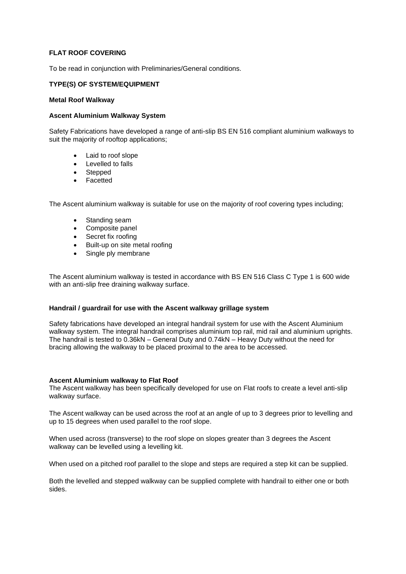# **FLAT ROOF COVERING**

To be read in conjunction with Preliminaries/General conditions.

## **TYPE(S) OF SYSTEM/EQUIPMENT**

## **Metal Roof Walkway**

## **Ascent Aluminium Walkway System**

Safety Fabrications have developed a range of anti-slip BS EN 516 compliant aluminium walkways to suit the majority of rooftop applications;

- Laid to roof slope
- Levelled to falls
- Stepped
- **Facetted**

The Ascent aluminium walkway is suitable for use on the majority of roof covering types including;

- Standing seam
- Composite panel
- Secret fix roofing
- Built-up on site metal roofing
- Single ply membrane

The Ascent aluminium walkway is tested in accordance with BS EN 516 Class C Type 1 is 600 wide with an anti-slip free draining walkway surface.

### **Handrail / guardrail for use with the Ascent walkway grillage system**

Safety fabrications have developed an integral handrail system for use with the Ascent Aluminium walkway system. The integral handrail comprises aluminium top rail, mid rail and aluminium uprights. The handrail is tested to 0.36kN – General Duty and 0.74kN – Heavy Duty without the need for bracing allowing the walkway to be placed proximal to the area to be accessed.

### **Ascent Aluminium walkway to Flat Roof**

The Ascent walkway has been specifically developed for use on Flat roofs to create a level anti-slip walkway surface.

The Ascent walkway can be used across the roof at an angle of up to 3 degrees prior to levelling and up to 15 degrees when used parallel to the roof slope.

When used across (transverse) to the roof slope on slopes greater than 3 degrees the Ascent walkway can be levelled using a levelling kit.

When used on a pitched roof parallel to the slope and steps are required a step kit can be supplied.

Both the levelled and stepped walkway can be supplied complete with handrail to either one or both sides.